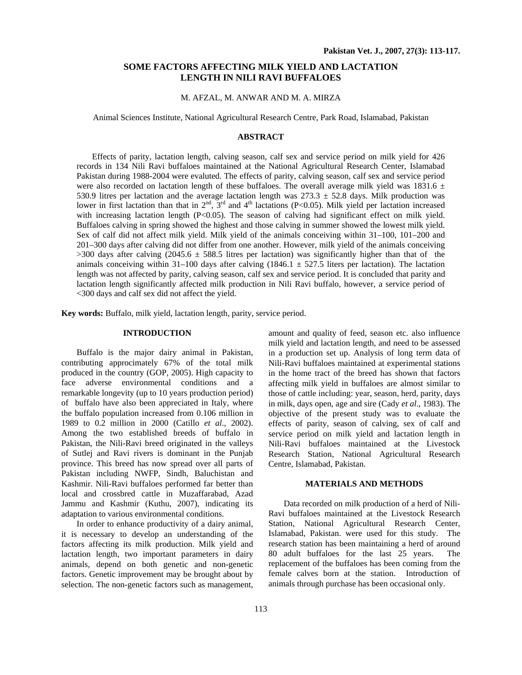# **SOME FACTORS AFFECTING MILK YIELD AND LACTATION LENGTH IN NILI RAVI BUFFALOES**

# M. AFZAL, M. ANWAR AND M. A. MIRZA

Animal Sciences Institute, National Agricultural Research Centre, Park Road, Islamabad, Pakistan

#### **ABSTRACT**

Effects of parity, lactation length, calving season, calf sex and service period on milk yield for 426 records in 134 Nili Ravi buffaloes maintained at the National Agricultural Research Center, Islamabad Pakistan during 1988-2004 were evaluted. The effects of parity, calving season, calf sex and service period were also recorded on lactation length of these buffaloes. The overall average milk yield was 1831.6  $\pm$ 530.9 litres per lactation and the average lactation length was  $273.3 \pm 52.8$  days. Milk production was lower in first lactation than that in  $2<sup>nd</sup>$ ,  $3<sup>rd</sup>$  and  $4<sup>th</sup>$  lactations (P<0.05). Milk yield per lactation increased with increasing lactation length (P<0.05). The season of calving had significant effect on milk yield. Buffaloes calving in spring showed the highest and those calving in summer showed the lowest milk yield. Sex of calf did not affect milk yield. Milk yield of the animals conceiving within 31–100, 101–200 and 201–300 days after calving did not differ from one another. However, milk yield of the animals conceiving  $>300$  days after calving (2045.6  $\pm$  588.5 litres per lactation) was significantly higher than that of the animals conceiving within 31–100 days after calving (1846.1  $\pm$  527.5 liters per lactation). The lactation length was not affected by parity, calving season, calf sex and service period. It is concluded that parity and lactation length significantly affected milk production in Nili Ravi buffalo, however, a service period of <300 days and calf sex did not affect the yield.

**Key words:** Buffalo, milk yield, lactation length, parity, service period.

# **INTRODUCTION**

Buffalo is the major dairy animal in Pakistan, contributing approcimately 67% of the total milk produced in the country (GOP, 2005). High capacity to face adverse environmental conditions and a remarkable longevity (up to 10 years production period) of buffalo have also been appreciated in Italy, where the buffalo population increased from 0.106 million in 1989 to 0.2 million in 2000 (Catillo *et al*., 2002). Among the two established breeds of buffalo in Pakistan, the Nili-Ravi breed originated in the valleys of Sutlej and Ravi rivers is dominant in the Punjab province. This breed has now spread over all parts of Pakistan including NWFP, Sindh, Baluchistan and Kashmir. Nili-Ravi buffaloes performed far better than local and crossbred cattle in Muzaffarabad, Azad Jammu and Kashmir (Kuthu, 2007), indicating its adaptation to various environmental conditions.

In order to enhance productivity of a dairy animal, it is necessary to develop an understanding of the factors affecting its milk production. Milk yield and lactation length, two important parameters in dairy animals, depend on both genetic and non-genetic factors. Genetic improvement may be brought about by selection. The non-genetic factors such as management, amount and quality of feed, season etc. also influence milk yield and lactation length, and need to be assessed in a production set up. Analysis of long term data of Nili-Ravi buffaloes maintained at experimental stations in the home tract of the breed has shown that factors affecting milk yield in buffaloes are almost similar to those of cattle including: year, season, herd, parity, days in milk, days open, age and sire (Cady *et al*., 1983). The objective of the present study was to evaluate the effects of parity, season of calving, sex of calf and service period on milk yield and lactation length in Nili-Ravi buffaloes maintained at the Livestock Research Station, National Agricultural Research Centre, Islamabad, Pakistan.

# **MATERIALS AND METHODS**

Data recorded on milk production of a herd of Nili-Ravi buffaloes maintained at the Livestock Research Station, National Agricultural Research Center, Islamabad, Pakistan. were used for this study. The research station has been maintaining a herd of around 80 adult buffaloes for the last 25 years. The replacement of the buffaloes has been coming from the female calves born at the station. Introduction of animals through purchase has been occasional only.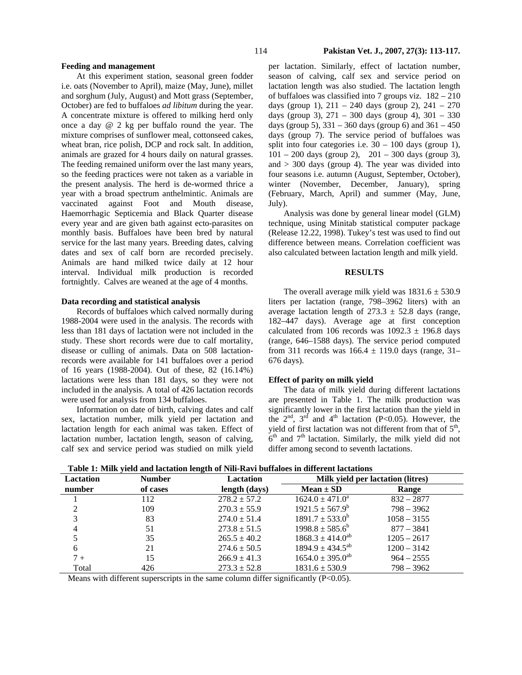#### **Feeding and management**

At this experiment station, seasonal green fodder i.e. oats (November to April), maize (May, June), millet and sorghum (July, August) and Mott grass (September, October) are fed to buffaloes *ad libitum* during the year. A concentrate mixture is offered to milking herd only once a day @ 2 kg per buffalo round the year. The mixture comprises of sunflower meal, cottonseed cakes, wheat bran, rice polish, DCP and rock salt. In addition, animals are grazed for 4 hours daily on natural grasses. The feeding remained uniform over the last many years, so the feeding practices were not taken as a variable in the present analysis. The herd is de-wormed thrice a year with a broad spectrum anthelmintic. Animals are vaccinated against Foot and Mouth disease, Haemorrhagic Septicemia and Black Quarter disease every year and are given bath against ecto-parasites on monthly basis. Buffaloes have been bred by natural service for the last many years. Breeding dates, calving dates and sex of calf born are recorded precisely. Animals are hand milked twice daily at 12 hour interval. Individual milk production is recorded fortnightly. Calves are weaned at the age of 4 months.

### **Data recording and statistical analysis**

Records of buffaloes which calved normally during 1988-2004 were used in the analysis. The records with less than 181 days of lactation were not included in the study. These short records were due to calf mortality, disease or culling of animals. Data on 508 lactationrecords were available for 141 buffaloes over a period of 16 years (1988-2004). Out of these, 82 (16.14%) lactations were less than 181 days, so they were not included in the analysis. A total of 426 lactation records were used for analysis from 134 buffaloes.

Information on date of birth, calving dates and calf sex, lactation number, milk yield per lactation and lactation length for each animal was taken. Effect of lactation number, lactation length, season of calving, calf sex and service period was studied on milk yield

per lactation. Similarly, effect of lactation number, season of calving, calf sex and service period on lactation length was also studied. The lactation length of buffaloes was classified into 7 groups viz. 182 – 210 days (group 1),  $211 - 240$  days (group 2),  $241 - 270$ days (group 3), 271 – 300 days (group 4), 301 – 330 days (group 5),  $331 - 360$  days (group 6) and  $361 - 450$ days (group 7). The service period of buffaloes was split into four categories i.e.  $30 - 100$  days (group 1),  $101 - 200$  days (group 2),  $201 - 300$  days (group 3), and  $>$  300 days (group 4). The year was divided into four seasons i.e. autumn (August, September, October), winter (November, December, January), spring (February, March, April) and summer (May, June, July).

Analysis was done by general linear model (GLM) technique, using Minitab statistical computer package (Release 12.22, 1998). Tukey's test was used to find out difference between means. Correlation coefficient was also calculated between lactation length and milk yield.

#### **RESULTS**

The overall average milk yield was  $1831.6 \pm 530.9$ liters per lactation (range, 798–3962 liters) with an average lactation length of  $273.3 \pm 52.8$  days (range, 182–447 days). Average age at first conception calculated from 106 records was  $1092.3 \pm 196.8$  days (range, 646–1588 days). The service period computed from 311 records was  $166.4 \pm 119.0$  days (range, 31– 676 days).

#### **Effect of parity on milk yield**

The data of milk yield during different lactations are presented in Table 1. The milk production was significantly lower in the first lactation than the yield in the  $2<sup>nd</sup>$ ,  $3<sup>rd</sup>$  and  $4<sup>th</sup>$  lactation (P<0.05). However, the yield of first lactation was not different from that of  $5<sup>th</sup>$ ,  $6<sup>th</sup>$  and  $7<sup>th</sup>$  lactation. Similarly, the milk yield did not differ among second to seventh lactations.

**Table 1: Milk yield and lactation length of Nili-Ravi buffaloes in different lactations** 

| Table 1. Milk yield and factation length of tym-Kayl buildioes in different factations |               |                  |                                   |               |  |
|----------------------------------------------------------------------------------------|---------------|------------------|-----------------------------------|---------------|--|
| <b>Lactation</b>                                                                       | <b>Number</b> | Lactation        | Milk vield per lactation (litres) |               |  |
| number                                                                                 | of cases      | length (days)    | $Mean \pm SD$                     | <b>Range</b>  |  |
|                                                                                        | 112           | $278.2 \pm 57.2$ | $1624.0 \pm 471.0^a$              | $832 - 2877$  |  |
|                                                                                        | 109           | $270.3 \pm 55.9$ | $1921.5 \pm 567.9^b$              | $798 - 3962$  |  |
| 3                                                                                      | 83            | $274.0 \pm 51.4$ | $1891.7 \pm 533.0^b$              | $1058 - 3155$ |  |
| 4                                                                                      | 51            | $273.8 \pm 51.5$ | $1998.8 \pm 585.6^b$              | $877 - 3841$  |  |
|                                                                                        | 35            | $265.5 \pm 40.2$ | $1868.3 \pm 414.0^{ab}$           | $1205 - 2617$ |  |
| 6                                                                                      | 21            | $274.6 \pm 50.5$ | $1894.9 \pm 434.5^{ab}$           | $1200 - 3142$ |  |
| $7+$                                                                                   | 15            | $266.9 \pm 41.3$ | $1654.0 \pm 395.0^{\text{ab}}$    | $964 - 2555$  |  |
| Total                                                                                  | 426           | $273.3 \pm 52.8$ | $1831.6 \pm 530.9$                | $798 - 3962$  |  |

Means with different superscripts in the same column differ significantly  $(P<0.05)$ .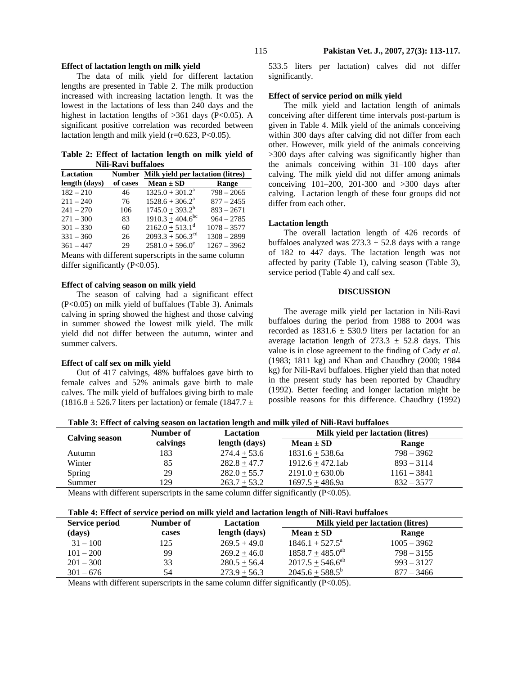# **Effect of lactation length on milk yield**

The data of milk yield for different lactation lengths are presented in Table 2. The milk production increased with increasing lactation length. It was the lowest in the lactations of less than 240 days and the highest in lactation lengths of  $>361$  days (P<0.05). A significant positive correlation was recorded between lactation length and milk yield  $(r=0.623, P<0.05)$ .

**Table 2: Effect of lactation length on milk yield of Nili-Ravi buffaloes** 

| Lactation     | <b>Number</b> | Milk yield per lactation (litres) |               |  |
|---------------|---------------|-----------------------------------|---------------|--|
| length (days) | of cases      | $Mean \pm SD$                     | Range         |  |
| $182 - 210$   | 46            | $1325.0 + 301.2a$                 | $798 - 2065$  |  |
| $211 - 240$   | 76            | $1528.6 + 306.2^a$                | $877 - 2455$  |  |
| $241 - 270$   | 106           | $1745.0 + 393.2^b$                | $893 - 2671$  |  |
| $271 - 300$   | 83            | $1910.3 + 404.6^{\rm bc}$         | $964 - 2785$  |  |
| $301 - 330$   | 60            | $2162.0 + 513.1^d$                | $1078 - 3577$ |  |
| $331 - 360$   | 26            | $2093.3 + 506.3^{\text{cd}}$      | $1308 - 2899$ |  |
| $361 - 447$   | 29            | $2581.0 + 596.0^e$                | $1267 - 3962$ |  |

Means with different superscripts in the same column differ significantly  $(P<0.05)$ .

# **Effect of calving season on milk yield**

The season of calving had a significant effect (P<0.05) on milk yield of buffaloes (Table 3). Animals calving in spring showed the highest and those calving in summer showed the lowest milk yield. The milk yield did not differ between the autumn, winter and summer calvers.

## **Effect of calf sex on milk yield**

Out of 417 calvings, 48% buffaloes gave birth to female calves and 52% animals gave birth to male calves. The milk yield of buffaloes giving birth to male  $(1816.8 \pm 526.7)$  liters per lactation) or female  $(1847.7 \pm 124)$  533.5 liters per lactation) calves did not differ significantly.

# **Effect of service period on milk yield**

The milk yield and lactation length of animals conceiving after different time intervals post-partum is given in Table 4. Milk yield of the animals conceiving within 300 days after calving did not differ from each other. However, milk yield of the animals conceiving >300 days after calving was significantly higher than the animals conceiving within 31–100 days after calving. The milk yield did not differ among animals conceiving 101–200, 201-300 and >300 days after calving. Lactation length of these four groups did not differ from each other.

#### **Lactation length**

The overall lactation length of 426 records of buffaloes analyzed was  $273.3 \pm 52.8$  days with a range of 182 to 447 days. The lactation length was not affected by parity (Table 1), calving season (Table 3), service period (Table 4) and calf sex.

#### **DISCUSSION**

The average milk yield per lactation in Nili-Ravi buffaloes during the period from 1988 to 2004 was recorded as  $1831.6 \pm 530.9$  liters per lactation for an average lactation length of  $273.3 \pm 52.8$  days. This value is in close agreement to the finding of Cady *et al*. (1983; 1811 kg) and Khan and Chaudhry (2000; 1984 kg) for Nili-Ravi buffaloes. Higher yield than that noted in the present study has been reported by Chaudhry (1992). Better feeding and longer lactation might be possible reasons for this difference. Chaudhry (1992)

**Table 3: Effect of calving season on lactation length and milk yiled of Nili-Ravi buffaloes** 

|                       | Number of | Lactation      | Milk yield per lactation (litres) |               |  |
|-----------------------|-----------|----------------|-----------------------------------|---------------|--|
| <b>Calving season</b> | calvings  | length (days)  | $Mean \pm SD$                     | Range         |  |
| Autumn                | 183       | $274.4 + 53.6$ | $1831.6 + 538.6a$                 | $798 - 3962$  |  |
| Winter                | 85        | $282.8 + 47.7$ | $1912.6 + 472.1ab$                | $893 - 3114$  |  |
| Spring                | 29        | $282.0 + 55.7$ | $2191.0 + 630.0b$                 | $1161 - 3841$ |  |
| Summer                | 129       | $263.7 + 53.2$ | $1697.5 + 486.9a$                 | $832 - 3577$  |  |
|                       |           |                |                                   |               |  |

Means with different superscripts in the same column differ significantly  $(P<0.05)$ .

|  | Table 4: Effect of service period on milk yield and lactation length of Nili-Ravi buffaloes |
|--|---------------------------------------------------------------------------------------------|
|  |                                                                                             |

| <b>Service period</b> | Number of | <b>Lactation</b> | Milk yield per lactation (litres) |               |
|-----------------------|-----------|------------------|-----------------------------------|---------------|
| (days)                | cases     | length (days)    | $Mean \pm SD$                     | Range         |
| $31 - 100$            | 125       | $269.5 + 49.0$   | $1846.1 \pm 527.5^{\circ}$        | $1005 - 3962$ |
| $101 - 200$           | 99        | $269.2 + 46.0$   | $1858.7 + 485.0^{ab}$             | $798 - 3155$  |
| $201 - 300$           | 33        | $280.5 \pm 56.4$ | $2017.5 \pm 546.6^{\text{ab}}$    | $993 - 3127$  |
| $301 - 676$           | 54        | $273.9 + 56.3$   | $2045.6 + 588.5^b$                | $877 - 3466$  |

Means with different superscripts in the same column differ significantly  $(P<0.05)$ .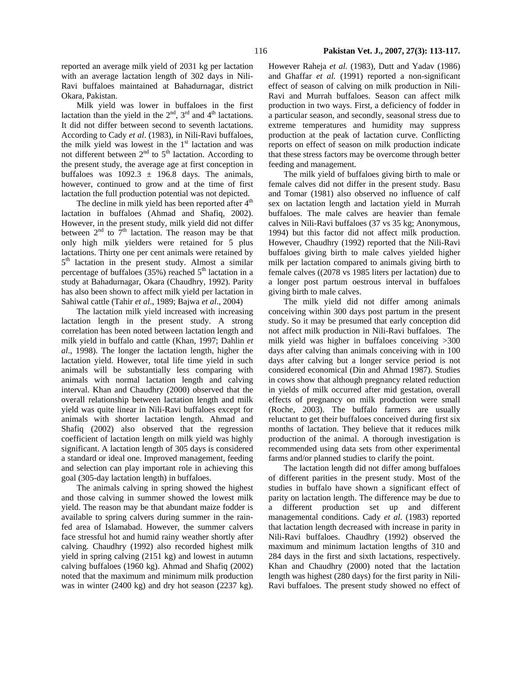Milk yield was lower in buffaloes in the first lactation than the yield in the  $2<sup>nd</sup>$ ,  $3<sup>rd</sup>$  and  $4<sup>th</sup>$  lactations. It did not differ between second to seventh lactations. According to Cady *et al*. (1983), in Nili-Ravi buffaloes, the milk yield was lowest in the  $1<sup>st</sup>$  lactation and was not different between  $2<sup>nd</sup>$  to  $5<sup>th</sup>$  lactation. According to the present study, the average age at first conception in buffaloes was  $1092.3 \pm 196.8$  days. The animals, however, continued to grow and at the time of first lactation the full production potential was not depicted.

The decline in milk yield has been reported after  $4<sup>th</sup>$ lactation in buffaloes (Ahmad and Shafiq, 2002). However, in the present study, milk yield did not differ between  $2<sup>nd</sup>$  to  $7<sup>th</sup>$  lactation. The reason may be that only high milk yielders were retained for 5 plus lactations. Thirty one per cent animals were retained by 5<sup>th</sup> lactation in the present study. Almost a similar percentage of buffaloes (35%) reached 5<sup>th</sup> lactation in a study at Bahadurnagar, Okara (Chaudhry, 1992). Parity has also been shown to affect milk yield per lactation in Sahiwal cattle (Tahir *et al*., 1989; Bajwa *et al*., 2004)

The lactation milk yield increased with increasing lactation length in the present study. A strong correlation has been noted between lactation length and milk yield in buffalo and cattle (Khan, 1997; Dahlin *et al*., 1998). The longer the lactation length, higher the lactation yield. However, total life time yield in such animals will be substantially less comparing with animals with normal lactation length and calving interval. Khan and Chaudhry (2000) observed that the overall relationship between lactation length and milk yield was quite linear in Nili-Ravi buffaloes except for animals with shorter lactation length. Ahmad and Shafiq (2002) also observed that the regression coefficient of lactation length on milk yield was highly significant. A lactation length of 305 days is considered a standard or ideal one. Improved management, feeding and selection can play important role in achieving this goal (305-day lactation length) in buffaloes.

The animals calving in spring showed the highest and those calving in summer showed the lowest milk yield. The reason may be that abundant maize fodder is available to spring calvers during summer in the rainfed area of Islamabad. However, the summer calvers face stressful hot and humid rainy weather shortly after calving. Chaudhry (1992) also recorded highest milk yield in spring calving (2151 kg) and lowest in autumn calving buffaloes (1960 kg). Ahmad and Shafiq (2002) noted that the maximum and minimum milk production was in winter (2400 kg) and dry hot season (2237 kg). However Raheja et al. (1983), Dutt and Yadav (1986) and Ghaffar *et al.* (1991) reported a non-significant effect of season of calving on milk production in Nili-Ravi and Murrah buffaloes. Season can affect milk production in two ways. First, a deficiency of fodder in a particular season, and secondly, seasonal stress due to extreme temperatures and humidity may suppress production at the peak of lactation curve. Conflicting reports on effect of season on milk production indicate that these stress factors may be overcome through better feeding and management.

The milk yield of buffaloes giving birth to male or female calves did not differ in the present study. Basu and Tomar (1981) also observed no influence of calf sex on lactation length and lactation yield in Murrah buffaloes. The male calves are heavier than female calves in Nili-Ravi buffaloes (37 vs 35 kg; Anonymous, 1994) but this factor did not affect milk production. However, Chaudhry (1992) reported that the Nili-Ravi buffaloes giving birth to male calves yielded higher milk per lactation compared to animals giving birth to female calves ((2078 vs 1985 liters per lactation) due to a longer post partum oestrous interval in buffaloes giving birth to male calves.

The milk yield did not differ among animals conceiving within 300 days post partum in the present study. So it may be presumed that early conception did not affect milk production in Nili-Ravi buffaloes. The milk yield was higher in buffaloes conceiving >300 days after calving than animals conceiving with in 100 days after calving but a longer service period is not considered economical (Din and Ahmad 1987). Studies in cows show that although pregnancy related reduction in yields of milk occurred after mid gestation, overall effects of pregnancy on milk production were small (Roche, 2003). The buffalo farmers are usually reluctant to get their buffaloes conceived during first six months of lactation. They believe that it reduces milk production of the animal. A thorough investigation is recommended using data sets from other experimental farms and/or planned studies to clarify the point.

The lactation length did not differ among buffaloes of different parities in the present study. Most of the studies in buffalo have shown a significant effect of parity on lactation length. The difference may be due to a different production set up and different managemental conditions. Cady *et al*. (1983) reported that lactation length decreased with increase in parity in Nili-Ravi buffaloes. Chaudhry (1992) observed the maximum and minimum lactation lengths of 310 and 284 days in the first and sixth lactations, respectively. Khan and Chaudhry (2000) noted that the lactation length was highest (280 days) for the first parity in Nili-Ravi buffaloes. The present study showed no effect of